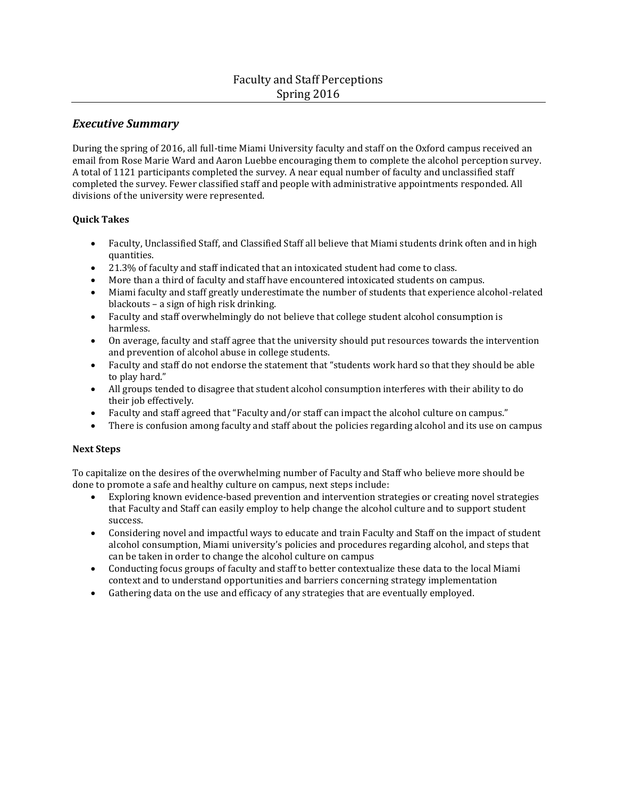# *Executive Summary*

During the spring of 2016, all full-time Miami University faculty and staff on the Oxford campus received an email from Rose Marie Ward and Aaron Luebbe encouraging them to complete the alcohol perception survey. A total of 1121 participants completed the survey. A near equal number of faculty and unclassified staff completed the survey. Fewer classified staff and people with administrative appointments responded. All divisions of the university were represented.

## **Quick Takes**

- Faculty, Unclassified Staff, and Classified Staff all believe that Miami students drink often and in high quantities.
- 21.3% of faculty and staff indicated that an intoxicated student had come to class.
- More than a third of faculty and staff have encountered intoxicated students on campus.
- Miami faculty and staff greatly underestimate the number of students that experience alcohol-related blackouts – a sign of high risk drinking.
- Faculty and staff overwhelmingly do not believe that college student alcohol consumption is harmless.
- On average, faculty and staff agree that the university should put resources towards the intervention and prevention of alcohol abuse in college students.
- Faculty and staff do not endorse the statement that "students work hard so that they should be able to play hard."
- All groups tended to disagree that student alcohol consumption interferes with their ability to do their job effectively.
- Faculty and staff agreed that "Faculty and/or staff can impact the alcohol culture on campus."
- There is confusion among faculty and staff about the policies regarding alcohol and its use on campus

#### **Next Steps**

To capitalize on the desires of the overwhelming number of Faculty and Staff who believe more should be done to promote a safe and healthy culture on campus, next steps include:

- Exploring known evidence-based prevention and intervention strategies or creating novel strategies that Faculty and Staff can easily employ to help change the alcohol culture and to support student success.
- Considering novel and impactful ways to educate and train Faculty and Staff on the impact of student alcohol consumption, Miami university's policies and procedures regarding alcohol, and steps that can be taken in order to change the alcohol culture on campus
- Conducting focus groups of faculty and staff to better contextualize these data to the local Miami context and to understand opportunities and barriers concerning strategy implementation
- Gathering data on the use and efficacy of any strategies that are eventually employed.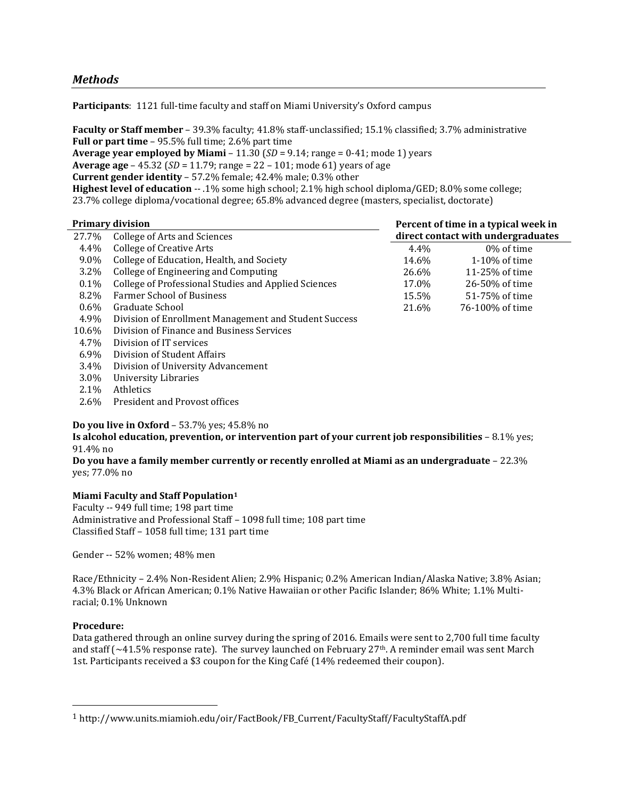# *Methods*

**Participants**: 1121 full-time faculty and staff on Miami University's Oxford campus

**Faculty or Staff member** – 39.3% faculty; 41.8% staff-unclassified; 15.1% classified; 3.7% administrative **Full or part time** – 95.5% full time; 2.6% part time

**Average year employed by Miami** – 11.30 (*SD* = 9.14; range = 0-41; mode 1) years **Average age** – 45.32 (*SD* = 11.79; range = 22 – 101; mode 61) years of age **Current gender identity** – 57.2% female; 42.4% male; 0.3% other **Highest level of education** -- .1% some high school; 2.1% high school diploma/GED; 8.0% some college; 23.7% college diploma/vocational degree; 65.8% advanced degree (masters, specialist, doctorate)

|         | <b>Primary division</b>                               |       | Percent of time in a typical week in |
|---------|-------------------------------------------------------|-------|--------------------------------------|
| 27.7%   | College of Arts and Sciences                          |       | direct contact with undergraduates   |
| 4.4%    | <b>College of Creative Arts</b>                       | 4.4%  | 0% of time                           |
| 9.0%    | College of Education, Health, and Society             | 14.6% | $1-10\%$ of time                     |
| 3.2%    | College of Engineering and Computing                  | 26.6% | 11-25% of time                       |
| $0.1\%$ | College of Professional Studies and Applied Sciences  | 17.0% | 26-50% of time                       |
| 8.2%    | <b>Farmer School of Business</b>                      | 15.5% | 51-75% of time                       |
| $0.6\%$ | Graduate School                                       | 21.6% | 76-100% of time                      |
| 4.9%    | Division of Enrollment Management and Student Success |       |                                      |
| 10.6%   | Division of Finance and Business Services             |       |                                      |
| 4.7%    | Division of IT services                               |       |                                      |
| $6.9\%$ | Division of Student Affairs                           |       |                                      |
| 3.4%    | Division of University Advancement                    |       |                                      |
| 3.0%    | University Libraries                                  |       |                                      |

- 2.1% Athletics
- 2.6% President and Provost offices

**Do you live in Oxford** – 53.7% yes; 45.8% no

**Is alcohol education, prevention, or intervention part of your current job responsibilities** – 8.1% yes; 91.4% no

**Do you have a family member currently or recently enrolled at Miami as an undergraduate** – 22.3% yes; 77.0% no

# **Miami Faculty and Staff Population<sup>1</sup>**

Faculty -- 949 full time; 198 part time Administrative and Professional Staff – 1098 full time; 108 part time Classified Staff – 1058 full time; 131 part time

Gender -- 52% women; 48% men

Race/Ethnicity – 2.4% Non-Resident Alien; 2.9% Hispanic; 0.2% American Indian/Alaska Native; 3.8% Asian; 4.3% Black or African American; 0.1% Native Hawaiian or other Pacific Islander; 86% White; 1.1% Multiracial; 0.1% Unknown

#### **Procedure:**

l

Data gathered through an online survey during the spring of 2016. Emails were sent to 2,700 full time faculty and staff ( $\sim$ 41.5% response rate). The survey launched on February 27<sup>th</sup>. A reminder email was sent March 1st. Participants received a \$3 coupon for the King Café (14% redeemed their coupon).

<sup>1</sup> [http://www.units.miamioh.edu/oir/FactBook/FB\\_Current/FacultyStaff/FacultyStaffA.pdf](http://www.units.miamioh.edu/oir/FactBook/FB_Current/FacultyStaff/FacultyStaffA.pdf)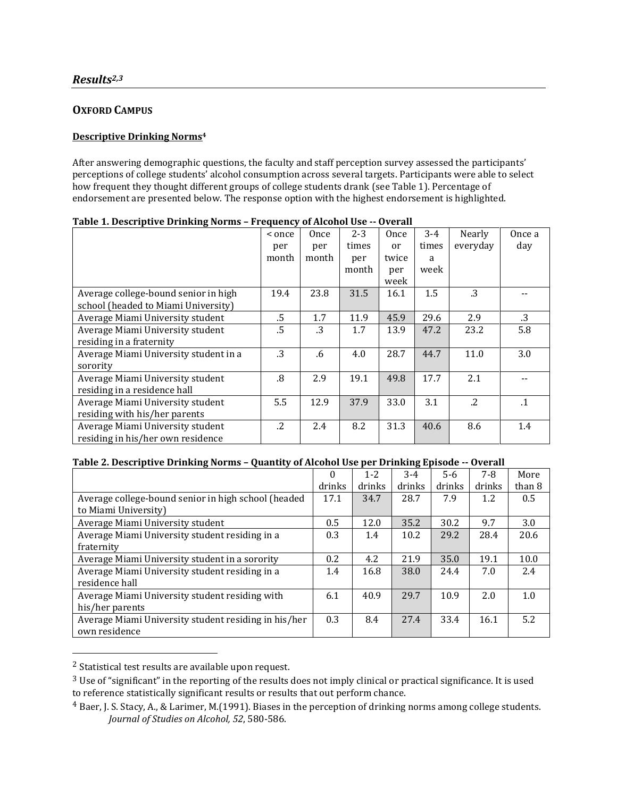# **OXFORD CAMPUS**

### **Descriptive Drinking Norms<sup>4</sup>**

After answering demographic questions, the faculty and staff perception survey assessed the participants' perceptions of college students' alcohol consumption across several targets. Participants were able to select how frequent they thought different groups of college students drank (see Table 1). Percentage of endorsement are presented below. The response option with the highest endorsement is highlighted.

|                                       | < once     | Once  | $2 - 3$ | Once          | $3 - 4$ | Nearly     | Once a    |
|---------------------------------------|------------|-------|---------|---------------|---------|------------|-----------|
|                                       | per        | per   | times   | <sub>or</sub> | times   | everyday   | day       |
|                                       | month      | month | per     | twice         | a       |            |           |
|                                       |            |       | month   | per           | week    |            |           |
|                                       |            |       |         | week          |         |            |           |
| Average college-bound senior in high  | 19.4       | 23.8  | 31.5    | 16.1          | 1.5     | .3         |           |
| school (headed to Miami University)   |            |       |         |               |         |            |           |
| Average Miami University student      | $.5\,$     | 1.7   | 11.9    | 45.9          | 29.6    | 2.9        | .3        |
| Average Miami University student      | .5         | .3    | 1.7     | 13.9          | 47.2    | 23.2       | 5.8       |
| residing in a fraternity              |            |       |         |               |         |            |           |
| Average Miami University student in a | .3         | .6    | 4.0     | 28.7          | 44.7    | 11.0       | 3.0       |
| sorority                              |            |       |         |               |         |            |           |
| Average Miami University student      | .8         | 2.9   | 19.1    | 49.8          | 17.7    | 2.1        |           |
| residing in a residence hall          |            |       |         |               |         |            |           |
| Average Miami University student      | 5.5        | 12.9  | 37.9    | 33.0          | 3.1     | $\cdot$ .2 | $\cdot$ 1 |
| residing with his/her parents         |            |       |         |               |         |            |           |
| Average Miami University student      | $\cdot$ .2 | 2.4   | 8.2     | 31.3          | 40.6    | 8.6        | 1.4       |
| residing in his/her own residence     |            |       |         |               |         |            |           |

|  |  | Table 1. Descriptive Drinking Norms - Frequency of Alcohol Use -- Overall |
|--|--|---------------------------------------------------------------------------|
|  |  |                                                                           |

#### **Table 2. Descriptive Drinking Norms – Quantity of Alcohol Use per Drinking Episode -- Overall**

|                                                      | $\theta$ | $1 - 2$ | $3-4$  | $5-6$  | $7 - 8$ | More   |
|------------------------------------------------------|----------|---------|--------|--------|---------|--------|
|                                                      | drinks   | drinks  | drinks | drinks | drinks  | than 8 |
| Average college-bound senior in high school (headed  | 17.1     | 34.7    | 28.7   | 7.9    | 1.2     | 0.5    |
| to Miami University)                                 |          |         |        |        |         |        |
| Average Miami University student                     | 0.5      | 12.0    | 35.2   | 30.2   | 9.7     | 3.0    |
| Average Miami University student residing in a       | 0.3      | 1.4     | 10.2   | 29.2   | 28.4    | 20.6   |
| fraternity                                           |          |         |        |        |         |        |
| Average Miami University student in a sorority       | 0.2      | 4.2     | 21.9   | 35.0   | 19.1    | 10.0   |
| Average Miami University student residing in a       | 1.4      | 16.8    | 38.0   | 24.4   | 7.0     | 2.4    |
| residence hall                                       |          |         |        |        |         |        |
| Average Miami University student residing with       | 6.1      | 40.9    | 29.7   | 10.9   | 2.0     | 1.0    |
| his/her parents                                      |          |         |        |        |         |        |
| Average Miami University student residing in his/her | 0.3      | 8.4     | 27.4   | 33.4   | 16.1    | 5.2    |
| own residence                                        |          |         |        |        |         |        |

<sup>2</sup> Statistical test results are available upon request.

 $\overline{\phantom{a}}$ 

<sup>&</sup>lt;sup>3</sup> Use of "significant" in the reporting of the results does not imply clinical or practical significance. It is used to reference statistically significant results or results that out perform chance.

<sup>4</sup> Baer, J. S. Stacy, A., & Larimer, M.(1991). Biases in the perception of drinking norms among college students. *Journal of Studies on Alcohol, 52*, 580‐586.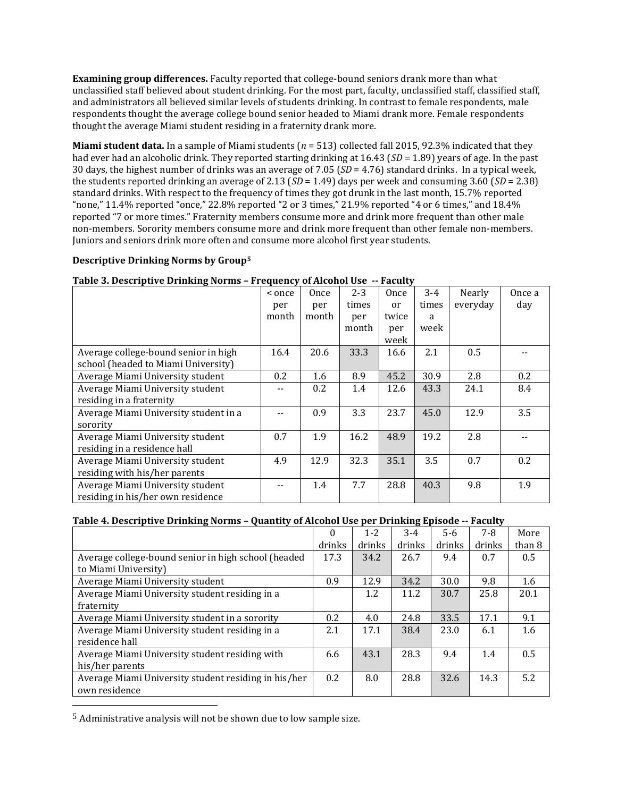**Examining group differences.** Faculty reported that college-bound seniors drank more than what unclassified staff believed about student drinking. For the most part, faculty, unclassified staff, classified staff, and administrators all believed similar levels of students drinking. In contrast to female respondents, male respondents thought the average college bound senior headed to Miami drank more. Female respondents thought the average Miami student residing in a fraternity drank more.

**Miami student data.** In a sample of Miami students (*n* = 513) collected fall 2015, 92.3% indicated that they had ever had an alcoholic drink. They reported starting drinking at 16.43 (*SD* = 1.89) years of age. In the past 30 days, the highest number of drinks was an average of 7.05 (*SD* = 4.76) standard drinks. In a typical week, the students reported drinking an average of 2.13 (*SD* = 1.49) days per week and consuming 3.60 (*SD* = 2.38) standard drinks. With respect to the frequency of times they got drunk in the last month, 15.7% reported "none," 11.4% reported "once," 22.8% reported "2 or 3 times," 21.9% reported "4 or 6 times," and 18.4% reported "7 or more times." Fraternity members consume more and drink more frequent than other male non-members. Sorority members consume more and drink more frequent than other female non-members. Juniors and seniors drink more often and consume more alcohol first year students.

### **Descriptive Drinking Norms by Group<sup>5</sup>**

| < once | Once  | $2 - 3$ | Once          | $3 - 4$ | Nearly                                                         | Once a |
|--------|-------|---------|---------------|---------|----------------------------------------------------------------|--------|
| per    | per   | times   | <sub>or</sub> | times   | everyday                                                       | day    |
| month  | month | per     | twice         | a       |                                                                |        |
|        |       | month   | per           | week    |                                                                |        |
|        |       |         | week          |         |                                                                |        |
| 16.4   | 20.6  | 33.3    | 16.6          | 2.1     | 0.5                                                            |        |
|        |       |         |               |         |                                                                |        |
| 0.2    | 1.6   | 8.9     | 45.2          | 30.9    | 2.8                                                            | 0.2    |
|        | 0.2   | 1.4     | 12.6          | 43.3    | 24.1                                                           | 8.4    |
|        |       |         |               |         |                                                                |        |
|        | 0.9   | 3.3     | 23.7          | 45.0    | 12.9                                                           | 3.5    |
|        |       |         |               |         |                                                                |        |
| 0.7    | 1.9   | 16.2    | 48.9          | 19.2    | 2.8                                                            |        |
|        |       |         |               |         |                                                                |        |
| 4.9    | 12.9  | 32.3    | 35.1          | 3.5     | 0.7                                                            | 0.2    |
|        |       |         |               |         |                                                                |        |
|        | 1.4   | 7.7     | 28.8          | 40.3    | 9.8                                                            | 1.9    |
|        |       |         |               |         |                                                                |        |
|        |       |         |               |         | rapic of beseriptive brinning norms - rrequency or inconor ose |        |

# **Table 3. Descriptive Drinking Norms – Frequency of Alcohol Use -- Faculty**

### **Table 4. Descriptive Drinking Norms – Quantity of Alcohol Use per Drinking Episode -- Faculty**

|                                                      | $\theta$ | $1 - 2$ | $3 - 4$ | $5-6$  | $7 - 8$ | More   |
|------------------------------------------------------|----------|---------|---------|--------|---------|--------|
|                                                      | drinks   | drinks  | drinks  | drinks | drinks  | than 8 |
| Average college-bound senior in high school (headed  | 17.3     | 34.2    | 26.7    | 9.4    | 0.7     | 0.5    |
| to Miami University)                                 |          |         |         |        |         |        |
| Average Miami University student                     | 0.9      | 12.9    | 34.2    | 30.0   | 9.8     | 1.6    |
| Average Miami University student residing in a       |          | 1.2     | 11.2    | 30.7   | 25.8    | 20.1   |
| fraternity                                           |          |         |         |        |         |        |
| Average Miami University student in a sorority       | 0.2      | 4.0     | 24.8    | 33.5   | 17.1    | 9.1    |
| Average Miami University student residing in a       | 2.1      | 17.1    | 38.4    | 23.0   | 6.1     | 1.6    |
| residence hall                                       |          |         |         |        |         |        |
| Average Miami University student residing with       | 6.6      | 43.1    | 28.3    | 9.4    | 1.4     | 0.5    |
| his/her parents                                      |          |         |         |        |         |        |
| Average Miami University student residing in his/her | 0.2      | 8.0     | 28.8    | 32.6   | 14.3    | 5.2    |
| own residence                                        |          |         |         |        |         |        |

5 Administrative analysis will not be shown due to low sample size.

l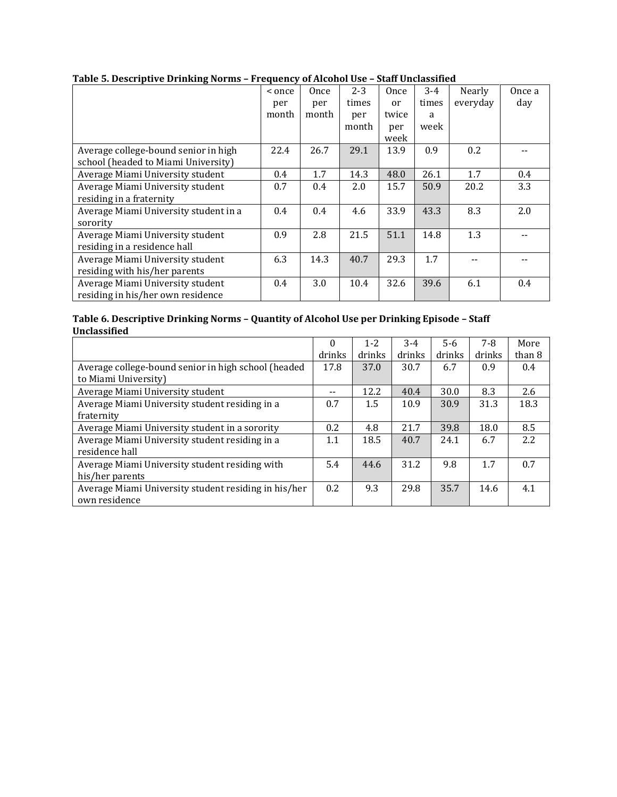|                                       | < once | Once  | $2 - 3$ | Once  | $3 - 4$ | Nearly   | Once a |
|---------------------------------------|--------|-------|---------|-------|---------|----------|--------|
|                                       | per    | per   | times   | or    | times   | everyday | day    |
|                                       | month  | month | per     | twice | a       |          |        |
|                                       |        |       | month   | per   | week    |          |        |
|                                       |        |       |         | week  |         |          |        |
| Average college-bound senior in high  | 22.4   | 26.7  | 29.1    | 13.9  | 0.9     | 0.2      |        |
| school (headed to Miami University)   |        |       |         |       |         |          |        |
| Average Miami University student      | 0.4    | 1.7   | 14.3    | 48.0  | 26.1    | 1.7      | 0.4    |
| Average Miami University student      | 0.7    | 0.4   | 2.0     | 15.7  | 50.9    | 20.2     | 3.3    |
| residing in a fraternity              |        |       |         |       |         |          |        |
| Average Miami University student in a | 0.4    | 0.4   | 4.6     | 33.9  | 43.3    | 8.3      | 2.0    |
| sorority                              |        |       |         |       |         |          |        |
| Average Miami University student      | 0.9    | 2.8   | 21.5    | 51.1  | 14.8    | 1.3      |        |
| residing in a residence hall          |        |       |         |       |         |          |        |
| Average Miami University student      | 6.3    | 14.3  | 40.7    | 29.3  | 1.7     |          |        |
| residing with his/her parents         |        |       |         |       |         |          |        |
| Average Miami University student      | 0.4    | 3.0   | 10.4    | 32.6  | 39.6    | 6.1      | 0.4    |
| residing in his/her own residence     |        |       |         |       |         |          |        |

# **Table 5. Descriptive Drinking Norms – Frequency of Alcohol Use – Staff Unclassified**

#### **Table 6. Descriptive Drinking Norms – Quantity of Alcohol Use per Drinking Episode – Staff Unclassified**

|                                                      | $\Omega$ | $1 - 2$ | $3 - 4$ | $5-6$  | $7 - 8$ | More             |
|------------------------------------------------------|----------|---------|---------|--------|---------|------------------|
|                                                      | drinks   | drinks  | drinks  | drinks | drinks  | than 8           |
| Average college-bound senior in high school (headed  | 17.8     | 37.0    | 30.7    | 6.7    | 0.9     | $0.4^{\circ}$    |
| to Miami University)                                 |          |         |         |        |         |                  |
| Average Miami University student                     |          | 12.2    | 40.4    | 30.0   | 8.3     | 2.6              |
| Average Miami University student residing in a       | 0.7      | 1.5     | 10.9    | 30.9   | 31.3    | 18.3             |
| fraternity                                           |          |         |         |        |         |                  |
| Average Miami University student in a sorority       | 0.2      | 4.8     | 21.7    | 39.8   | 18.0    | 8.5              |
| Average Miami University student residing in a       | 1.1      | 18.5    | 40.7    | 24.1   | 6.7     | $2.2\phantom{0}$ |
| residence hall                                       |          |         |         |        |         |                  |
| Average Miami University student residing with       | 5.4      | 44.6    | 31.2    | 9.8    | 1.7     | 0.7              |
| his/her parents                                      |          |         |         |        |         |                  |
| Average Miami University student residing in his/her | 0.2      | 9.3     | 29.8    | 35.7   | 14.6    | 4.1              |
| own residence                                        |          |         |         |        |         |                  |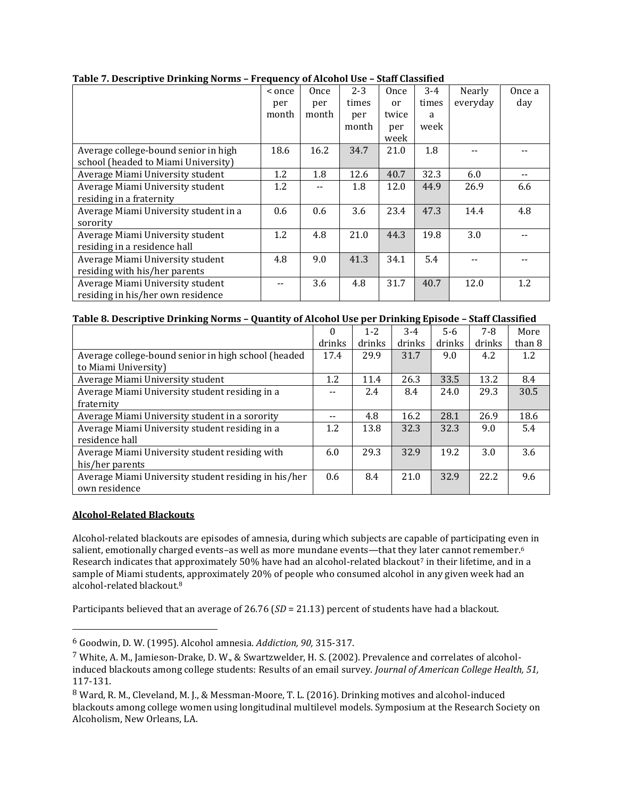|                                       | < once | Once  | $2 - 3$ | Once  | $3 - 4$ | Nearly   | Once a |
|---------------------------------------|--------|-------|---------|-------|---------|----------|--------|
|                                       | per    | per   | times   | or    | times   | everyday | day    |
|                                       | month  | month | per     | twice | a       |          |        |
|                                       |        |       | month   | per   | week    |          |        |
|                                       |        |       |         | week  |         |          |        |
| Average college-bound senior in high  | 18.6   | 16.2  | 34.7    | 21.0  | 1.8     |          |        |
| school (headed to Miami University)   |        |       |         |       |         |          |        |
| Average Miami University student      | 1.2    | 1.8   | 12.6    | 40.7  | 32.3    | 6.0      |        |
| Average Miami University student      | 1.2    |       | 1.8     | 12.0  | 44.9    | 26.9     | 6.6    |
| residing in a fraternity              |        |       |         |       |         |          |        |
| Average Miami University student in a | 0.6    | 0.6   | 3.6     | 23.4  | 47.3    | 14.4     | 4.8    |
| sorority                              |        |       |         |       |         |          |        |
| Average Miami University student      | 1.2    | 4.8   | 21.0    | 44.3  | 19.8    | 3.0      |        |
| residing in a residence hall          |        |       |         |       |         |          |        |
| Average Miami University student      | 4.8    | 9.0   | 41.3    | 34.1  | 5.4     |          |        |
| residing with his/her parents         |        |       |         |       |         |          |        |
| Average Miami University student      |        | 3.6   | 4.8     | 31.7  | 40.7    | 12.0     | 1.2    |
| residing in his/her own residence     |        |       |         |       |         |          |        |

# **Table 7. Descriptive Drinking Norms – Frequency of Alcohol Use – Staff Classified**

### **Table 8. Descriptive Drinking Norms – Quantity of Alcohol Use per Drinking Episode – Staff Classified**

|                                                      | $\theta$ | $1 - 2$ | $3 - 4$ | $5 - 6$ | $7 - 8$ | More   |
|------------------------------------------------------|----------|---------|---------|---------|---------|--------|
|                                                      | drinks   | drinks  | drinks  | drinks  | drinks  | than 8 |
| Average college-bound senior in high school (headed  | 17.4     | 29.9    | 31.7    | 9.0     | 4.2     | 1.2    |
| to Miami University)                                 |          |         |         |         |         |        |
| Average Miami University student                     | 1.2      | 11.4    | 26.3    | 33.5    | 13.2    | 8.4    |
| Average Miami University student residing in a       |          | 2.4     | 8.4     | 24.0    | 29.3    | 30.5   |
| fraternity                                           |          |         |         |         |         |        |
| Average Miami University student in a sorority       | $- -$    | 4.8     | 16.2    | 28.1    | 26.9    | 18.6   |
| Average Miami University student residing in a       | 1.2      | 13.8    | 32.3    | 32.3    | 9.0     | 5.4    |
| residence hall                                       |          |         |         |         |         |        |
| Average Miami University student residing with       | 6.0      | 29.3    | 32.9    | 19.2    | 3.0     | 3.6    |
| his/her parents                                      |          |         |         |         |         |        |
| Average Miami University student residing in his/her | 0.6      | 8.4     | 21.0    | 32.9    | 22.2    | 9.6    |
| own residence                                        |          |         |         |         |         |        |

## **Alcohol-Related Blackouts**

 $\overline{\phantom{a}}$ 

Alcohol-related blackouts are episodes of amnesia, during which subjects are capable of participating even in salient, emotionally charged events–as well as more mundane events—that they later cannot remember. 6 Research indicates that approximately 50% have had an alcohol-related blackout<sup>7</sup> in their lifetime, and in a sample of Miami students, approximately 20% of people who consumed alcohol in any given week had an alcohol-related blackout.<sup>8</sup>

Participants believed that an average of 26.76 (*SD* = 21.13) percent of students have had a blackout.

<sup>6</sup> Goodwin, D. W. (1995). Alcohol amnesia. *Addiction, 90,* 315-317.

<sup>7</sup> White, A. M., Jamieson-Drake, D. W., & Swartzwelder, H. S. (2002). Prevalence and correlates of alcoholinduced blackouts among college students: Results of an email survey. *Journal of American College Health, 51,*  117-131.

<sup>8</sup> Ward, R. M., Cleveland, M. J., & Messman-Moore, T. L. (2016). Drinking motives and alcohol-induced blackouts among college women using longitudinal multilevel models. Symposium at the Research Society on Alcoholism, New Orleans, LA.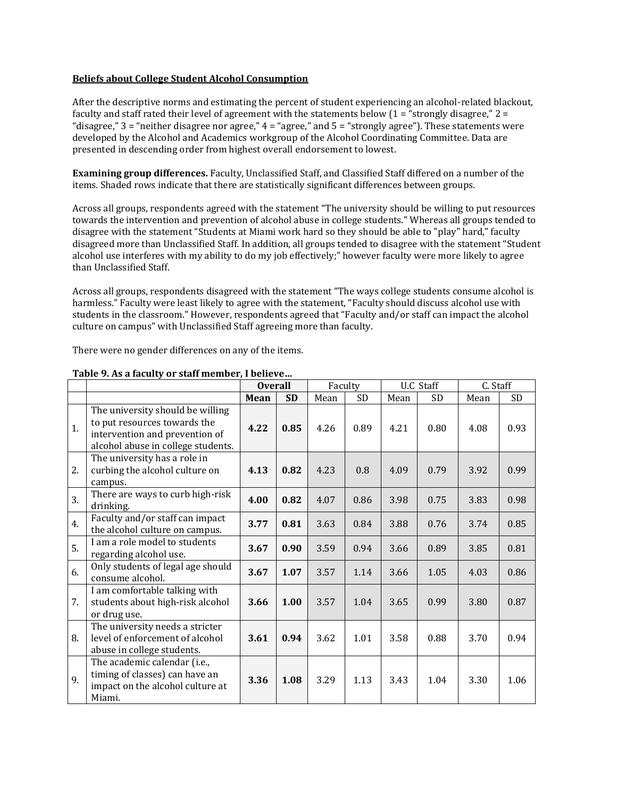#### **Beliefs about College Student Alcohol Consumption**

After the descriptive norms and estimating the percent of student experiencing an alcohol-related blackout, faculty and staff rated their level of agreement with the statements below  $(1 - x^2)$  strongly disagree,"  $2 =$ "disagree,"  $3 =$  "neither disagree nor agree,"  $4 =$  "agree," and  $5 =$  "strongly agree"). These statements were developed by the Alcohol and Academics workgroup of the Alcohol Coordinating Committee. Data are presented in descending order from highest overall endorsement to lowest.

**Examining group differences.** Faculty, Unclassified Staff, and Classified Staff differed on a number of the items. Shaded rows indicate that there are statistically significant differences between groups.

Across all groups, respondents agreed with the statement "The university should be willing to put resources towards the intervention and prevention of alcohol abuse in college students." Whereas all groups tended to disagree with the statement "Students at Miami work hard so they should be able to "play" hard," faculty disagreed more than Unclassified Staff. In addition, all groups tended to disagree with the statement "Student alcohol use interferes with my ability to do my job effectively;" however faculty were more likely to agree than Unclassified Staff.

Across all groups, respondents disagreed with the statement "The ways college students consume alcohol is harmless." Faculty were least likely to agree with the statement, "Faculty should discuss alcohol use with students in the classroom." However, respondents agreed that "Faculty and/or staff can impact the alcohol culture on campus" with Unclassified Staff agreeing more than faculty.

There were no gender differences on any of the items.

|    |                                                                                                                                          | <b>Overall</b> |           |      | Faculty   |      | U.C Staff | C. Staff |           |
|----|------------------------------------------------------------------------------------------------------------------------------------------|----------------|-----------|------|-----------|------|-----------|----------|-----------|
|    |                                                                                                                                          | Mean           | <b>SD</b> | Mean | <b>SD</b> | Mean | SD        | Mean     | <b>SD</b> |
| 1. | The university should be willing<br>to put resources towards the<br>intervention and prevention of<br>alcohol abuse in college students. | 4.22           | 0.85      | 4.26 | 0.89      | 4.21 | 0.80      | 4.08     | 0.93      |
| 2. | The university has a role in<br>curbing the alcohol culture on<br>campus.                                                                | 4.13           | 0.82      | 4.23 | 0.8       | 4.09 | 0.79      | 3.92     | 0.99      |
| 3. | There are ways to curb high-risk<br>drinking.                                                                                            | 4.00           | 0.82      | 4.07 | 0.86      | 3.98 | 0.75      | 3.83     | 0.98      |
| 4. | Faculty and/or staff can impact<br>the alcohol culture on campus.                                                                        | 3.77           | 0.81      | 3.63 | 0.84      | 3.88 | 0.76      | 3.74     | 0.85      |
| 5. | I am a role model to students<br>regarding alcohol use.                                                                                  | 3.67           | 0.90      | 3.59 | 0.94      | 3.66 | 0.89      | 3.85     | 0.81      |
| 6. | Only students of legal age should<br>consume alcohol.                                                                                    | 3.67           | 1.07      | 3.57 | 1.14      | 3.66 | 1.05      | 4.03     | 0.86      |
| 7. | I am comfortable talking with<br>students about high-risk alcohol<br>or drug use.                                                        | 3.66           | 1.00      | 3.57 | 1.04      | 3.65 | 0.99      | 3.80     | 0.87      |
| 8. | The university needs a stricter<br>level of enforcement of alcohol<br>abuse in college students.                                         | 3.61           | 0.94      | 3.62 | 1.01      | 3.58 | 0.88      | 3.70     | 0.94      |
| 9. | The academic calendar (i.e.,<br>timing of classes) can have an<br>impact on the alcohol culture at<br>Miami.                             | 3.36           | 1.08      | 3.29 | 1.13      | 3.43 | 1.04      | 3.30     | 1.06      |

#### **Table 9. As a faculty or staff member, I believe…**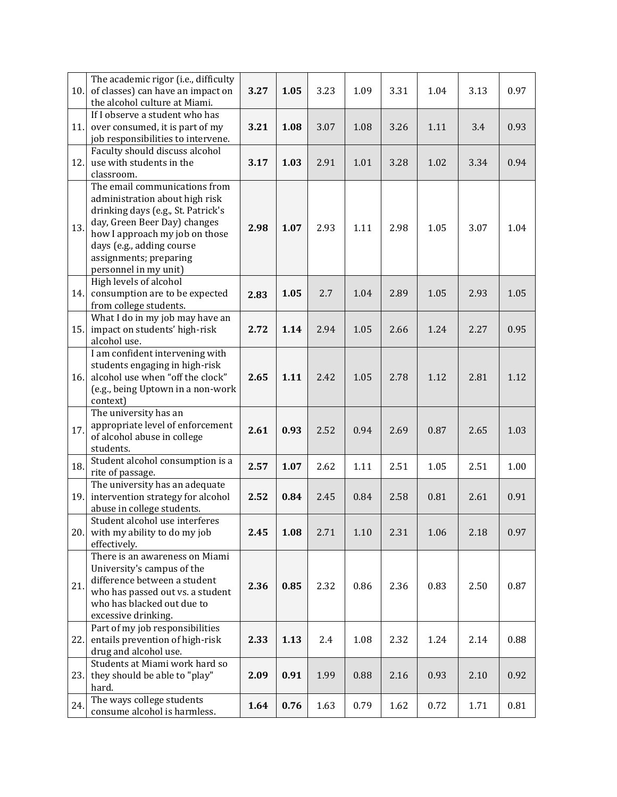| 10. | The academic rigor (i.e., difficulty<br>of classes) can have an impact on<br>the alcohol culture at Miami.                                                                                                                                              | 3.27 | 1.05 | 3.23 | 1.09 | 3.31 | 1.04 | 3.13 | 0.97 |
|-----|---------------------------------------------------------------------------------------------------------------------------------------------------------------------------------------------------------------------------------------------------------|------|------|------|------|------|------|------|------|
| 11. | If I observe a student who has<br>over consumed, it is part of my<br>job responsibilities to intervene.                                                                                                                                                 | 3.21 | 1.08 | 3.07 | 1.08 | 3.26 | 1.11 | 3.4  | 0.93 |
| 12. | Faculty should discuss alcohol<br>use with students in the<br>classroom.                                                                                                                                                                                | 3.17 | 1.03 | 2.91 | 1.01 | 3.28 | 1.02 | 3.34 | 0.94 |
| 13. | The email communications from<br>administration about high risk<br>drinking days (e.g., St. Patrick's<br>day, Green Beer Day) changes<br>how I approach my job on those<br>days (e.g., adding course<br>assignments; preparing<br>personnel in my unit) | 2.98 | 1.07 | 2.93 | 1.11 | 2.98 | 1.05 | 3.07 | 1.04 |
| 14. | High levels of alcohol<br>consumption are to be expected<br>from college students.                                                                                                                                                                      | 2.83 | 1.05 | 2.7  | 1.04 | 2.89 | 1.05 | 2.93 | 1.05 |
| 15. | What I do in my job may have an<br>impact on students' high-risk<br>alcohol use.                                                                                                                                                                        | 2.72 | 1.14 | 2.94 | 1.05 | 2.66 | 1.24 | 2.27 | 0.95 |
| 16. | I am confident intervening with<br>students engaging in high-risk<br>alcohol use when "off the clock"<br>(e.g., being Uptown in a non-work<br>context)                                                                                                  | 2.65 | 1.11 | 2.42 | 1.05 | 2.78 | 1.12 | 2.81 | 1.12 |
| 17. | The university has an<br>appropriate level of enforcement<br>of alcohol abuse in college<br>students.                                                                                                                                                   | 2.61 | 0.93 | 2.52 | 0.94 | 2.69 | 0.87 | 2.65 | 1.03 |
| 18. | Student alcohol consumption is a<br>rite of passage.                                                                                                                                                                                                    | 2.57 | 1.07 | 2.62 | 1.11 | 2.51 | 1.05 | 2.51 | 1.00 |
| 19. | The university has an adequate<br>intervention strategy for alcohol<br>abuse in college students.                                                                                                                                                       | 2.52 | 0.84 | 2.45 | 0.84 | 2.58 | 0.81 | 2.61 | 0.91 |
| 20. | Student alcohol use interferes<br>with my ability to do my job<br>effectively.                                                                                                                                                                          | 2.45 | 1.08 | 2.71 | 1.10 | 2.31 | 1.06 | 2.18 | 0.97 |
| 21. | There is an awareness on Miami<br>University's campus of the<br>difference between a student<br>who has passed out vs. a student<br>who has blacked out due to<br>excessive drinking.                                                                   | 2.36 | 0.85 | 2.32 | 0.86 | 2.36 | 0.83 | 2.50 | 0.87 |
| 22. | Part of my job responsibilities<br>entails prevention of high-risk<br>drug and alcohol use.                                                                                                                                                             | 2.33 | 1.13 | 2.4  | 1.08 | 2.32 | 1.24 | 2.14 | 0.88 |
| 23. | Students at Miami work hard so<br>they should be able to "play"<br>hard.                                                                                                                                                                                | 2.09 | 0.91 | 1.99 | 0.88 | 2.16 | 0.93 | 2.10 | 0.92 |
| 24. | The ways college students<br>consume alcohol is harmless.                                                                                                                                                                                               | 1.64 | 0.76 | 1.63 | 0.79 | 1.62 | 0.72 | 1.71 | 0.81 |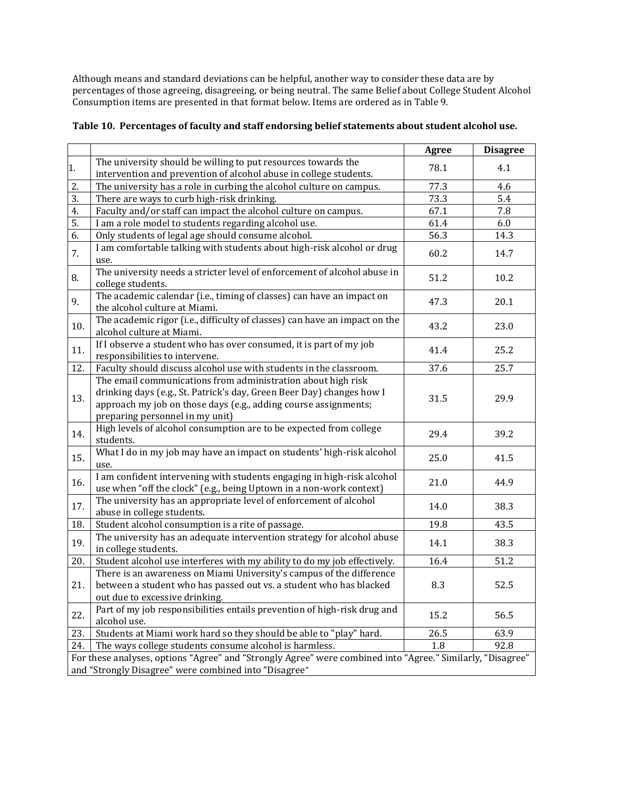Although means and standard deviations can be helpful, another way to consider these data are by percentages of those agreeing, disagreeing, or being neutral. The same Belief about College Student Alcohol Consumption items are presented in that format below. Items are ordered as in Table 9.

|  |  | Table 10. Percentages of faculty and staff endorsing belief statements about student alcohol use. |
|--|--|---------------------------------------------------------------------------------------------------|
|  |  |                                                                                                   |

|                                                                                                                                                                     |                                                                                                                                                                                                                                             | <b>Agree</b> | <b>Disagree</b> |
|---------------------------------------------------------------------------------------------------------------------------------------------------------------------|---------------------------------------------------------------------------------------------------------------------------------------------------------------------------------------------------------------------------------------------|--------------|-----------------|
| 1.                                                                                                                                                                  | The university should be willing to put resources towards the<br>intervention and prevention of alcohol abuse in college students.                                                                                                          | 78.1         | 4.1             |
| 2.                                                                                                                                                                  | The university has a role in curbing the alcohol culture on campus.                                                                                                                                                                         | 77.3         | 4.6             |
| $\overline{3}$ .                                                                                                                                                    | There are ways to curb high-risk drinking.                                                                                                                                                                                                  | 73.3         | 5.4             |
| 4.                                                                                                                                                                  | Faculty and/or staff can impact the alcohol culture on campus.                                                                                                                                                                              | 67.1         | 7.8             |
| 5.                                                                                                                                                                  | I am a role model to students regarding alcohol use.                                                                                                                                                                                        | 61.4         | 6.0             |
| 6.                                                                                                                                                                  | Only students of legal age should consume alcohol.                                                                                                                                                                                          | 56.3         | 14.3            |
| 7.                                                                                                                                                                  | I am comfortable talking with students about high-risk alcohol or drug<br>use.                                                                                                                                                              | 60.2         | 14.7            |
| 8.                                                                                                                                                                  | The university needs a stricter level of enforcement of alcohol abuse in<br>college students.                                                                                                                                               | 51.2         | 10.2            |
| 9.                                                                                                                                                                  | The academic calendar (i.e., timing of classes) can have an impact on<br>the alcohol culture at Miami.                                                                                                                                      | 47.3         | 20.1            |
| 10.                                                                                                                                                                 | The academic rigor (i.e., difficulty of classes) can have an impact on the<br>alcohol culture at Miami.                                                                                                                                     | 43.2         | 23.0            |
| 11.                                                                                                                                                                 | If I observe a student who has over consumed, it is part of my job<br>responsibilities to intervene.                                                                                                                                        | 41.4         | 25.2            |
| 12.                                                                                                                                                                 | Faculty should discuss alcohol use with students in the classroom.                                                                                                                                                                          | 37.6         | 25.7            |
| 13.                                                                                                                                                                 | The email communications from administration about high risk<br>drinking days (e.g., St. Patrick's day, Green Beer Day) changes how I<br>approach my job on those days (e.g., adding course assignments;<br>preparing personnel in my unit) | 31.5         | 29.9            |
| 14.                                                                                                                                                                 | High levels of alcohol consumption are to be expected from college<br>students.                                                                                                                                                             | 29.4         | 39.2            |
| 15.                                                                                                                                                                 | What I do in my job may have an impact on students' high-risk alcohol<br>use.                                                                                                                                                               | 25.0         | 41.5            |
| 16.                                                                                                                                                                 | I am confident intervening with students engaging in high-risk alcohol<br>use when "off the clock" (e.g., being Uptown in a non-work context)                                                                                               | 21.0         | 44.9            |
| 17.                                                                                                                                                                 | The university has an appropriate level of enforcement of alcohol<br>abuse in college students.                                                                                                                                             | 14.0         | 38.3            |
| 18.                                                                                                                                                                 | Student alcohol consumption is a rite of passage.                                                                                                                                                                                           | 19.8         | 43.5            |
| 19.                                                                                                                                                                 | The university has an adequate intervention strategy for alcohol abuse<br>in college students.                                                                                                                                              | 14.1         | 38.3            |
| 20.                                                                                                                                                                 | Student alcohol use interferes with my ability to do my job effectively.                                                                                                                                                                    | 16.4         | 51.2            |
| 21.                                                                                                                                                                 | There is an awareness on Miami University's campus of the difference<br>between a student who has passed out vs. a student who has blacked<br>out due to excessive drinking.                                                                | 8.3          | 52.5            |
| 22.                                                                                                                                                                 | Part of my job responsibilities entails prevention of high-risk drug and<br>alcohol use.                                                                                                                                                    | 15.2         | 56.5            |
| 23.                                                                                                                                                                 | Students at Miami work hard so they should be able to "play" hard.                                                                                                                                                                          | 26.5         | 63.9            |
| 24.                                                                                                                                                                 | The ways college students consume alcohol is harmless.                                                                                                                                                                                      | 1.8          | 92.8            |
| For these analyses, options "Agree" and "Strongly Agree" were combined into "Agree." Similarly, "Disagree"<br>and "Strongly Disagree" were combined into "Disagree" |                                                                                                                                                                                                                                             |              |                 |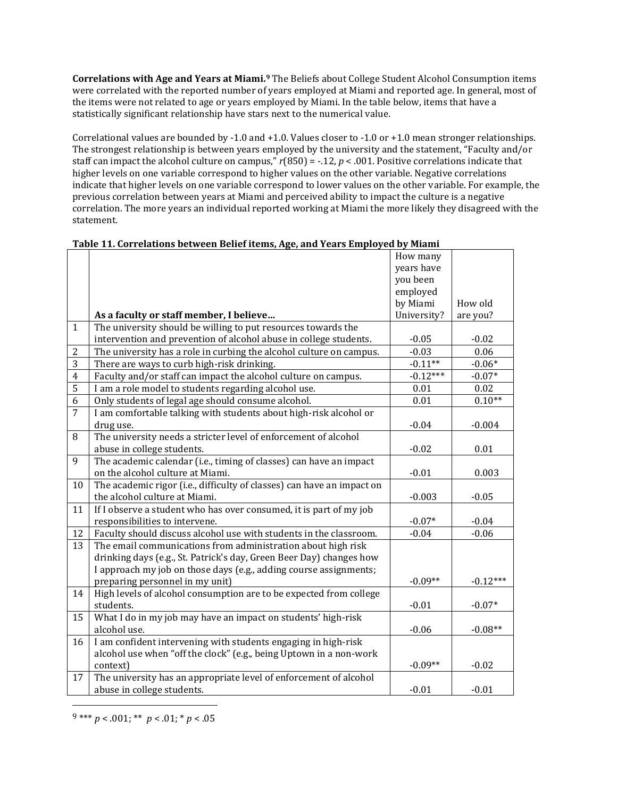**Correlations with Age and Years at Miami.<sup>9</sup>** The Beliefs about College Student Alcohol Consumption items were correlated with the reported number of years employed at Miami and reported age. In general, most of the items were not related to age or years employed by Miami. In the table below, items that have a statistically significant relationship have stars next to the numerical value.

Correlational values are bounded by -1.0 and +1.0. Values closer to -1.0 or +1.0 mean stronger relationships. The strongest relationship is between years employed by the university and the statement, "Faculty and/or staff can impact the alcohol culture on campus,"  $r(850) = -12$ ,  $p < .001$ . Positive correlations indicate that higher levels on one variable correspond to higher values on the other variable. Negative correlations indicate that higher levels on one variable correspond to lower values on the other variable. For example, the previous correlation between years at Miami and perceived ability to impact the culture is a negative correlation. The more years an individual reported working at Miami the more likely they disagreed with the statement.

|                |                                                                        | How many    |            |
|----------------|------------------------------------------------------------------------|-------------|------------|
|                |                                                                        | years have  |            |
|                |                                                                        | you been    |            |
|                |                                                                        | employed    |            |
|                |                                                                        | by Miami    | How old    |
|                | As a faculty or staff member, I believe                                | University? | are you?   |
| $\mathbf{1}$   | The university should be willing to put resources towards the          |             |            |
|                | intervention and prevention of alcohol abuse in college students.      | $-0.05$     | $-0.02$    |
| $\overline{2}$ | The university has a role in curbing the alcohol culture on campus.    | $-0.03$     | 0.06       |
| $\overline{3}$ | There are ways to curb high-risk drinking.                             | $-0.11**$   | $-0.06*$   |
| $\overline{4}$ | Faculty and/or staff can impact the alcohol culture on campus.         | $-0.12***$  | $-0.07*$   |
| $\overline{5}$ | I am a role model to students regarding alcohol use.                   | $0.01\,$    | 0.02       |
| $\overline{6}$ | Only students of legal age should consume alcohol.                     | 0.01        | $0.10**$   |
| $\overline{7}$ | I am comfortable talking with students about high-risk alcohol or      |             |            |
|                | drug use.                                                              | $-0.04$     | $-0.004$   |
| 8              | The university needs a stricter level of enforcement of alcohol        |             |            |
|                | abuse in college students.                                             | $-0.02$     | 0.01       |
| 9              | The academic calendar (i.e., timing of classes) can have an impact     |             |            |
|                | on the alcohol culture at Miami.                                       | $-0.01$     | 0.003      |
| 10             | The academic rigor (i.e., difficulty of classes) can have an impact on |             |            |
|                | the alcohol culture at Miami.                                          | $-0.003$    | $-0.05$    |
| 11             | If I observe a student who has over consumed, it is part of my job     |             |            |
|                | responsibilities to intervene.                                         | $-0.07*$    | $-0.04$    |
| 12             | Faculty should discuss alcohol use with students in the classroom.     | $-0.04$     | $-0.06$    |
| 13             | The email communications from administration about high risk           |             |            |
|                | drinking days (e.g., St. Patrick's day, Green Beer Day) changes how    |             |            |
|                | I approach my job on those days (e.g., adding course assignments;      |             |            |
|                | preparing personnel in my unit)                                        | $-0.09**$   | $-0.12***$ |
| 14             | High levels of alcohol consumption are to be expected from college     |             |            |
|                | students.                                                              | $-0.01$     | $-0.07*$   |
| 15             | What I do in my job may have an impact on students' high-risk          |             |            |
|                | alcohol use.                                                           | $-0.06$     | $-0.08**$  |
| 16             | I am confident intervening with students engaging in high-risk         |             |            |
|                | alcohol use when "off the clock" (e.g., being Uptown in a non-work     |             |            |
|                | context)                                                               | $-0.09**$   | $-0.02$    |
| 17             | The university has an appropriate level of enforcement of alcohol      |             |            |
|                | abuse in college students.                                             | $-0.01$     | $-0.01$    |

| Table 11. Correlations between Belief items, Age, and Years Employed by Miami |  |
|-------------------------------------------------------------------------------|--|
|-------------------------------------------------------------------------------|--|

 $9*** p < .001; ** p < .01; * p < .05$ 

l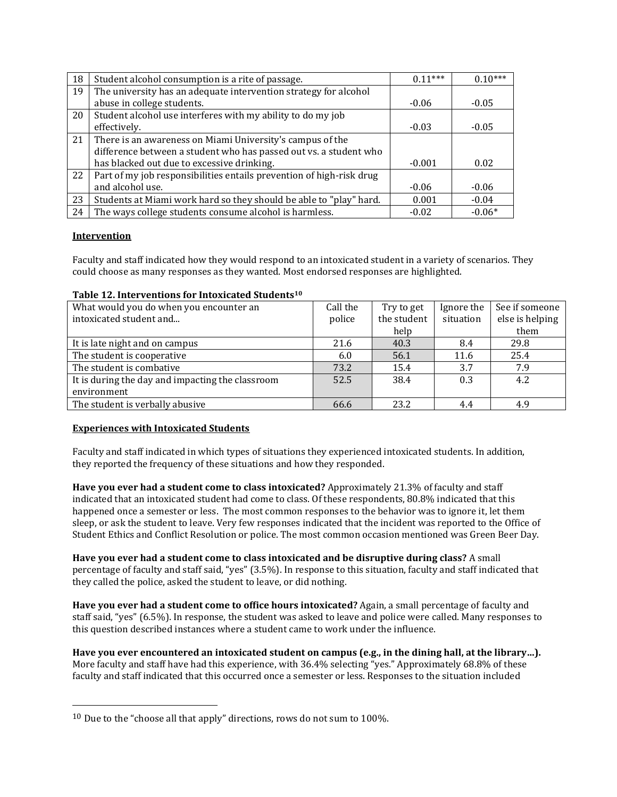| 18 | Student alcohol consumption is a rite of passage.                    | $0.11***$ | $0.10***$ |
|----|----------------------------------------------------------------------|-----------|-----------|
| 19 | The university has an adequate intervention strategy for alcohol     |           |           |
|    | abuse in college students.                                           | $-0.06$   | $-0.05$   |
| 20 | Student alcohol use interferes with my ability to do my job          |           |           |
|    | effectively.                                                         | $-0.03$   | $-0.05$   |
| 21 | There is an awareness on Miami University's campus of the            |           |           |
|    | difference between a student who has passed out vs. a student who    |           |           |
|    | has blacked out due to excessive drinking.                           | $-0.001$  | 0.02      |
| 22 | Part of my job responsibilities entails prevention of high-risk drug |           |           |
|    | and alcohol use.                                                     | $-0.06$   | $-0.06$   |
| 23 | Students at Miami work hard so they should be able to "play" hard.   | 0.001     | $-0.04$   |
| 24 | The ways college students consume alcohol is harmless.               | $-0.02$   | $-0.06*$  |

## **Intervention**

l

Faculty and staff indicated how they would respond to an intoxicated student in a variety of scenarios. They could choose as many responses as they wanted. Most endorsed responses are highlighted.

#### **Table 12. Interventions for Intoxicated Students<sup>10</sup>**

| What would you do when you encounter an          | Call the | Try to get  | Ignore the | See if someone  |
|--------------------------------------------------|----------|-------------|------------|-----------------|
| intoxicated student and                          | police   | the student | situation  | else is helping |
|                                                  |          | help        |            | them            |
| It is late night and on campus                   | 21.6     | 40.3        | 8.4        | 29.8            |
| The student is cooperative                       | 6.0      | 56.1        | 11.6       | 25.4            |
| The student is combative                         | 73.2     | 15.4        | 3.7        | 7.9             |
| It is during the day and impacting the classroom | 52.5     | 38.4        | 0.3        | 4.2             |
| environment                                      |          |             |            |                 |
| The student is verbally abusive                  | 66.6     | 23.2        | 4.4        | 4.9             |

## **Experiences with Intoxicated Students**

Faculty and staff indicated in which types of situations they experienced intoxicated students. In addition, they reported the frequency of these situations and how they responded.

**Have you ever had a student come to class intoxicated?** Approximately 21.3% of faculty and staff indicated that an intoxicated student had come to class. Of these respondents, 80.8% indicated that this happened once a semester or less. The most common responses to the behavior was to ignore it, let them sleep, or ask the student to leave. Very few responses indicated that the incident was reported to the Office of Student Ethics and Conflict Resolution or police. The most common occasion mentioned was Green Beer Day.

**Have you ever had a student come to class intoxicated and be disruptive during class?** A small percentage of faculty and staff said, "yes" (3.5%). In response to this situation, faculty and staff indicated that they called the police, asked the student to leave, or did nothing.

**Have you ever had a student come to office hours intoxicated?** Again, a small percentage of faculty and staff said, "yes" (6.5%). In response, the student was asked to leave and police were called. Many responses to this question described instances where a student came to work under the influence.

**Have you ever encountered an intoxicated student on campus (e.g., in the dining hall, at the library…).**  More faculty and staff have had this experience, with 36.4% selecting "yes." Approximately 68.8% of these faculty and staff indicated that this occurred once a semester or less. Responses to the situation included

 $10$  Due to the "choose all that apply" directions, rows do not sum to 100%.